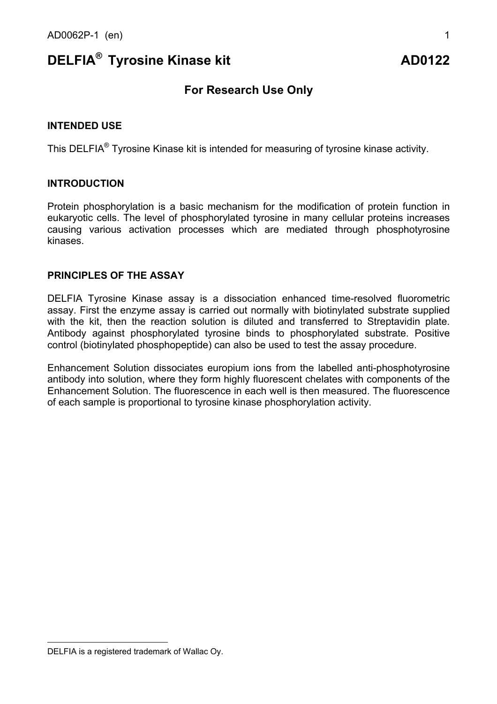# **DELFIA<sup>®</sup> Tyrosine Kinase kit AD0122**

# **For Research Use Only**

#### **INTENDED USE**

This DELFIA® Tyrosine Kinase kit is intended for measuring of tyrosine kinase activity.

#### **INTRODUCTION**

Protein phosphorylation is a basic mechanism for the modification of protein function in eukaryotic cells. The level of phosphorylated tyrosine in many cellular proteins increases causing various activation processes which are mediated through phosphotyrosine kinases.

#### **PRINCIPI FS OF THE ASSAY**

DELFIA Tyrosine Kinase assay is a dissociation enhanced time-resolved fluorometric assay. First the enzyme assay is carried out normally with biotinylated substrate supplied with the kit, then the reaction solution is diluted and transferred to Streptavidin plate. Antibody against phosphorylated tyrosine binds to phosphorylated substrate. Positive control (biotinylated phosphopeptide) can also be used to test the assay procedure.

Enhancement Solution dissociates europium ions from the labelled anti-phosphotyrosine antibody into solution, where they form highly fluorescent chelates with components of the Enhancement Solution. The fluorescence in each well is then measured. The fluorescence of each sample is proportional to tyrosine kinase phosphorylation activity.

l

DELFIA is a registered trademark of Wallac Oy.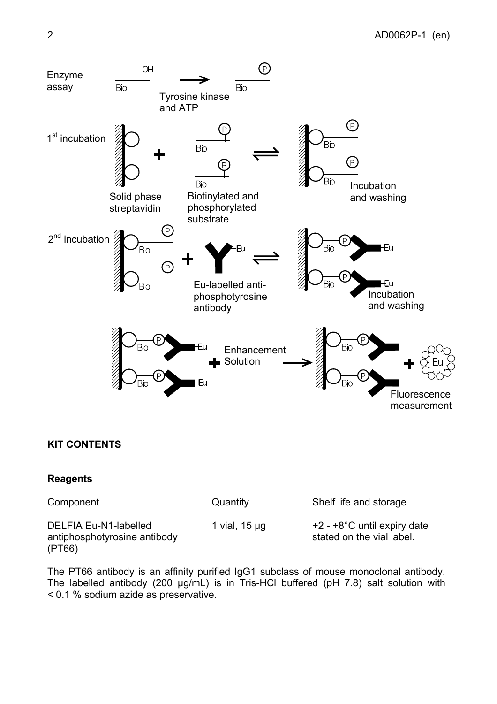

## **KIT CONTENTS**

## **Reagents**

| Component                                                       | Quantity           | Shelf life and storage                                      |
|-----------------------------------------------------------------|--------------------|-------------------------------------------------------------|
| DELFIA Eu-N1-labelled<br>antiphosphotyrosine antibody<br>(PT66) | 1 vial, $15 \mu g$ | $+2 - +8$ °C until expiry date<br>stated on the vial label. |

The PT66 antibody is an affinity purified IgG1 subclass of mouse monoclonal antibody. The labelled antibody (200 µg/mL) is in Tris-HCl buffered (pH 7.8) salt solution with < 0.1 % sodium azide as preservative.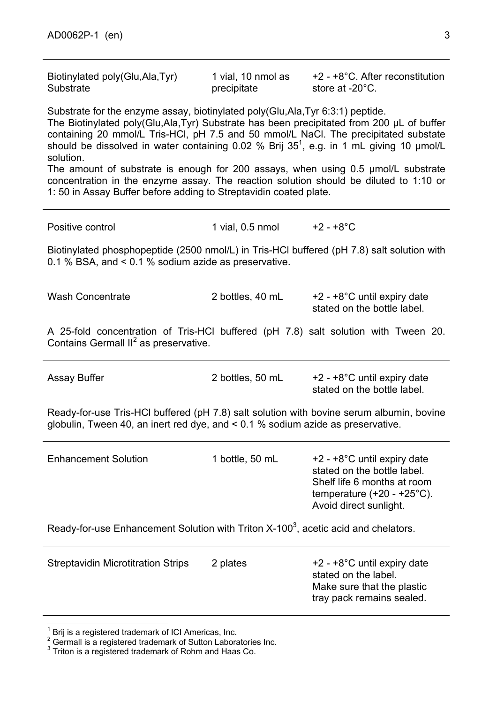Biotinylated poly(Glu,Ala,Tyr) **Substrate** 

1 vial, 10 nmol as precipitate

+2 - +8°C. After reconstitution store at -20°C.

Substrate for the enzyme assay, biotinylated poly(Glu,Ala,Tyr 6:3:1) peptide.

The Biotinylated poly(Glu,Ala,Tyr) Substrate has been precipitated from 200 µL of buffer containing 20 mmol/L Tris-HCl, pH 7.5 and 50 mmol/L NaCl. The precipitated substate should be dissolved in water containing 0.02 % Brij 35<sup>1</sup>, e.g. in 1 mL giving 10  $\mu$ mol/L solution.

The amount of substrate is enough for 200 assays, when using 0.5 µmol/L substrate concentration in the enzyme assay. The reaction solution should be diluted to 1:10 or 1: 50 in Assay Buffer before adding to Streptavidin coated plate.

Positive control 1 vial, 0.5 nmol +2 - +8°C

Biotinylated phosphopeptide (2500 nmol/L) in Tris-HCl buffered (pH 7.8) salt solution with 0.1 % BSA, and < 0.1 % sodium azide as preservative.

| <b>Wash Concentrate</b>                                                                                                                                                          | 2 bottles, 40 mL | +2 - +8°C until expiry date<br>stated on the bottle label.                                                                                                     |  |  |
|----------------------------------------------------------------------------------------------------------------------------------------------------------------------------------|------------------|----------------------------------------------------------------------------------------------------------------------------------------------------------------|--|--|
| A 25-fold concentration of Tris-HCI buffered (pH 7.8) salt solution with Tween 20.<br>Contains Germall II <sup>2</sup> as preservative.                                          |                  |                                                                                                                                                                |  |  |
| <b>Assay Buffer</b>                                                                                                                                                              | 2 bottles, 50 mL | $+2 - +8$ °C until expiry date<br>stated on the bottle label.                                                                                                  |  |  |
| Ready-for-use Tris-HCI buffered (pH 7.8) salt solution with bovine serum albumin, bovine<br>globulin, Tween 40, an inert red dye, and $\leq$ 0.1 % sodium azide as preservative. |                  |                                                                                                                                                                |  |  |
| <b>Enhancement Solution</b>                                                                                                                                                      | 1 bottle, 50 mL  | $+2 - +8$ °C until expiry date<br>stated on the bottle label.<br>Shelf life 6 months at room<br>temperature $(+20 - +25^{\circ}C)$ .<br>Avoid direct sunlight. |  |  |
| Ready-for-use Enhancement Solution with Triton X-100 <sup>3</sup> , acetic acid and chelators.                                                                                   |                  |                                                                                                                                                                |  |  |
| <b>Streptavidin Microtitration Strips</b>                                                                                                                                        | 2 plates         | $+2 - +8$ °C until expiry date<br>stated on the label.<br>Make sure that the plastic<br>tray pack remains sealed.                                              |  |  |

l 1 Brij is a registered trademark of ICI Americas, Inc.

 $2$  Germall is a registered trademark of Sutton Laboratories Inc.

 $3$  Triton is a registered trademark of Rohm and Haas Co.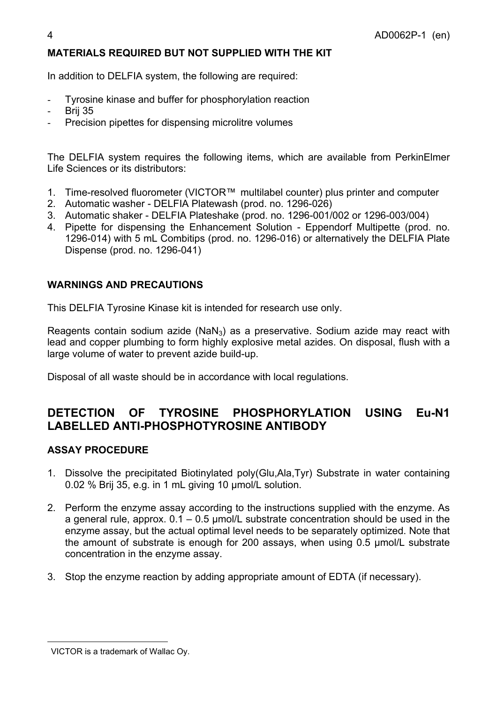## **MATERIALS REQUIRED BUT NOT SUPPLIED WITH THE KIT**

In addition to DELFIA system, the following are required:

- Tyrosine kinase and buffer for phosphorylation reaction
- **Brij 35**
- Precision pipettes for dispensing microlitre volumes

The DELFIA system requires the following items, which are available from PerkinElmer Life Sciences or its distributors:

- 1. Time-resolved fluorometer (VICTOR™ multilabel counter) plus printer and computer
- 2. Automatic washer DELFIA Platewash (prod. no. 1296-026)
- 3. Automatic shaker DELFIA Plateshake (prod. no. 1296-001/002 or 1296-003/004)
- 4. Pipette for dispensing the Enhancement Solution Eppendorf Multipette (prod. no. 1296-014) with 5 mL Combitips (prod. no. 1296-016) or alternatively the DELFIA Plate Dispense (prod. no. 1296-041)

## **WARNINGS AND PRECAUTIONS**

This DELFIA Tyrosine Kinase kit is intended for research use only.

Reagents contain sodium azide (NaN<sub>3</sub>) as a preservative. Sodium azide may react with lead and copper plumbing to form highly explosive metal azides. On disposal, flush with a large volume of water to prevent azide build-up.

Disposal of all waste should be in accordance with local regulations.

# **DETECTION OF TYROSINE PHOSPHORYLATION USING Eu-N1 LABELLED ANTI-PHOSPHOTYROSINE ANTIBODY**

#### **ASSAY PROCEDURE**

- 1. Dissolve the precipitated Biotinylated poly(Glu,Ala,Tyr) Substrate in water containing 0.02 % Brij 35, e.g. in 1 mL giving 10 µmol/L solution.
- 2. Perform the enzyme assay according to the instructions supplied with the enzyme. As a general rule, approx.  $0.1 - 0.5$  µmol/L substrate concentration should be used in the enzyme assay, but the actual optimal level needs to be separately optimized. Note that the amount of substrate is enough for 200 assays, when using 0.5 µmol/L substrate concentration in the enzyme assay.
- 3. Stop the enzyme reaction by adding appropriate amount of EDTA (if necessary).

l

VICTOR is a trademark of Wallac Oy.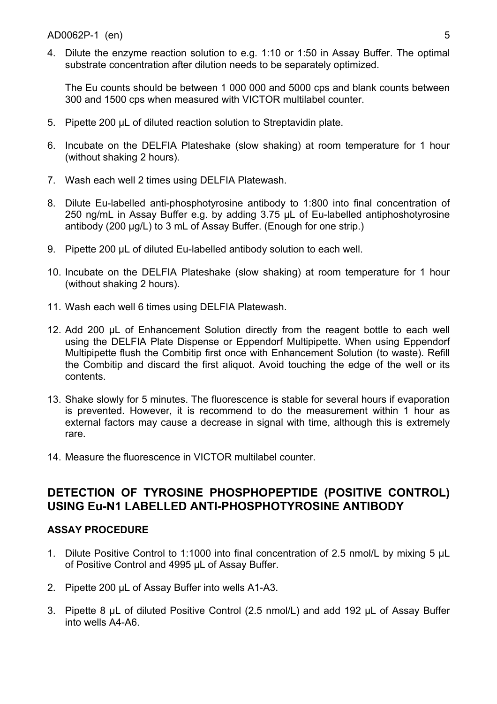4. Dilute the enzyme reaction solution to e.g. 1:10 or 1:50 in Assay Buffer. The optimal substrate concentration after dilution needs to be separately optimized.

The Eu counts should be between 1 000 000 and 5000 cps and blank counts between 300 and 1500 cps when measured with VICTOR multilabel counter.

- 5. Pipette 200 µL of diluted reaction solution to Streptavidin plate.
- 6. Incubate on the DELFIA Plateshake (slow shaking) at room temperature for 1 hour (without shaking 2 hours).
- 7. Wash each well 2 times using DELFIA Platewash.
- 8. Dilute Eu-labelled anti-phosphotyrosine antibody to 1:800 into final concentration of 250 ng/mL in Assay Buffer e.g. by adding 3.75 µL of Eu-labelled antiphoshotyrosine antibody (200 µg/L) to 3 mL of Assay Buffer. (Enough for one strip.)
- 9. Pipette 200 µL of diluted Eu-labelled antibody solution to each well.
- 10. Incubate on the DELFIA Plateshake (slow shaking) at room temperature for 1 hour (without shaking 2 hours).
- 11. Wash each well 6 times using DELFIA Platewash.
- 12. Add 200 µL of Enhancement Solution directly from the reagent bottle to each well using the DELFIA Plate Dispense or Eppendorf Multipipette. When using Eppendorf Multipipette flush the Combitip first once with Enhancement Solution (to waste). Refill the Combitip and discard the first aliquot. Avoid touching the edge of the well or its contents.
- 13. Shake slowly for 5 minutes. The fluorescence is stable for several hours if evaporation is prevented. However, it is recommend to do the measurement within 1 hour as external factors may cause a decrease in signal with time, although this is extremely rare.
- 14. Measure the fluorescence in VICTOR multilabel counter.

# **DETECTION OF TYROSINE PHOSPHOPEPTIDE (POSITIVE CONTROL) USING Eu-N1 LABELLED ANTI-PHOSPHOTYROSINE ANTIBODY**

# **ASSAY PROCEDURE**

- 1. Dilute Positive Control to 1:1000 into final concentration of 2.5 nmol/L by mixing 5 µL of Positive Control and 4995 µL of Assay Buffer.
- 2. Pipette 200 µL of Assay Buffer into wells A1-A3.
- 3. Pipette 8 µL of diluted Positive Control (2.5 nmol/L) and add 192 µL of Assay Buffer into wells A4-A6.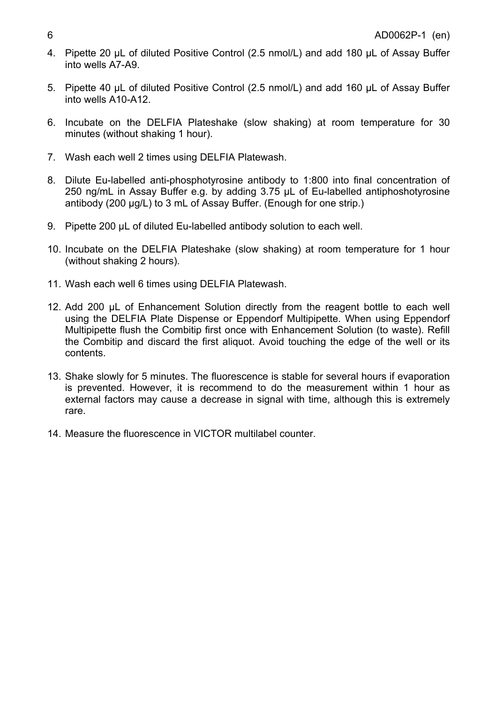- 4. Pipette 20 uL of diluted Positive Control (2.5 nmol/L) and add 180 uL of Assay Buffer into wells A7-A9.
- 5. Pipette 40 µL of diluted Positive Control (2.5 nmol/L) and add 160 µL of Assay Buffer into wells A10-A12.
- 6. Incubate on the DELFIA Plateshake (slow shaking) at room temperature for 30 minutes (without shaking 1 hour).
- 7. Wash each well 2 times using DELFIA Platewash.
- 8. Dilute Eu-labelled anti-phosphotyrosine antibody to 1:800 into final concentration of 250 ng/mL in Assay Buffer e.g. by adding 3.75 µL of Eu-labelled antiphoshotyrosine antibody (200 µg/L) to 3 mL of Assay Buffer. (Enough for one strip.)
- 9. Pipette 200 µL of diluted Eu-labelled antibody solution to each well.
- 10. Incubate on the DELFIA Plateshake (slow shaking) at room temperature for 1 hour (without shaking 2 hours).
- 11. Wash each well 6 times using DELFIA Platewash.
- 12. Add 200 uL of Enhancement Solution directly from the reagent bottle to each well using the DELFIA Plate Dispense or Eppendorf Multipipette. When using Eppendorf Multipipette flush the Combitip first once with Enhancement Solution (to waste). Refill the Combitip and discard the first aliquot. Avoid touching the edge of the well or its contents.
- 13. Shake slowly for 5 minutes. The fluorescence is stable for several hours if evaporation is prevented. However, it is recommend to do the measurement within 1 hour as external factors may cause a decrease in signal with time, although this is extremely rare.
- 14. Measure the fluorescence in VICTOR multilabel counter.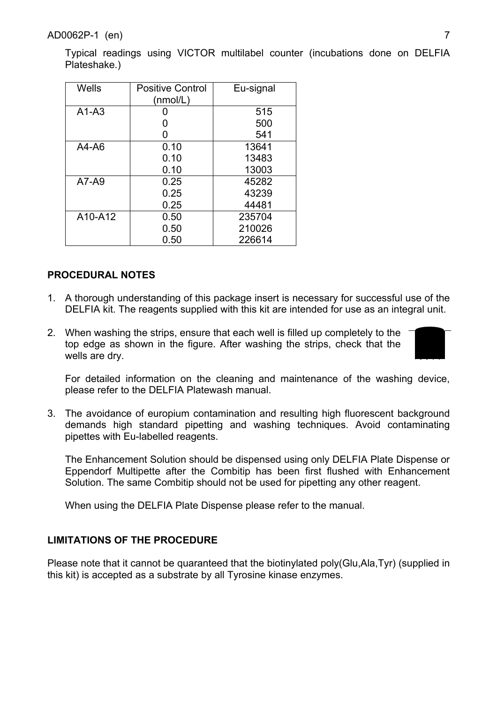Typical readings using VICTOR multilabel counter (incubations done on DELFIA Plateshake.)

| Wells     | <b>Positive Control</b><br>(mmol/L) | Eu-signal |
|-----------|-------------------------------------|-----------|
| $A1-A3$   |                                     | 515       |
|           |                                     | 500       |
|           | O                                   | 541       |
| $A4 - A6$ | 0.10                                | 13641     |
|           | 0.10                                | 13483     |
|           | 0.10                                | 13003     |
| $A7-A9$   | 0.25                                | 45282     |
|           | 0.25                                | 43239     |
|           | 0.25                                | 44481     |
| A10-A12   | 0.50                                | 235704    |
|           | 0.50                                | 210026    |
|           | 0.50                                | 226614    |

## **PROCEDURAL NOTES**

- 1. A thorough understanding of this package insert is necessary for successful use of the DELFIA kit. The reagents supplied with this kit are intended for use as an integral unit.
- 2. When washing the strips, ensure that each well is filled up completely to the top edge as shown in the figure. After washing the strips, check that the wells are dry.



For detailed information on the cleaning and maintenance of the washing device, please refer to the DELFIA Platewash manual.

3. The avoidance of europium contamination and resulting high fluorescent background demands high standard pipetting and washing techniques. Avoid contaminating pipettes with Eu-labelled reagents.

The Enhancement Solution should be dispensed using only DELFIA Plate Dispense or Eppendorf Multipette after the Combitip has been first flushed with Enhancement Solution. The same Combitip should not be used for pipetting any other reagent.

When using the DELFIA Plate Dispense please refer to the manual.

## **LIMITATIONS OF THE PROCEDURE**

Please note that it cannot be quaranteed that the biotinylated poly(Glu,Ala,Tyr) (supplied in this kit) is accepted as a substrate by all Tyrosine kinase enzymes.